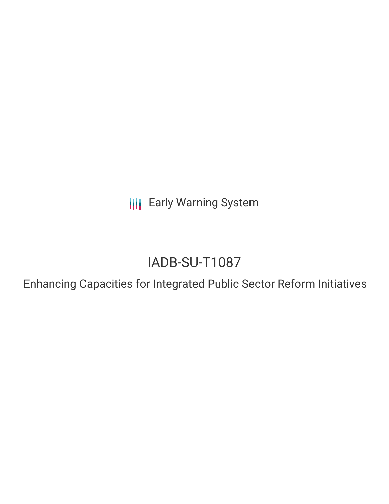**III** Early Warning System

# IADB-SU-T1087

Enhancing Capacities for Integrated Public Sector Reform Initiatives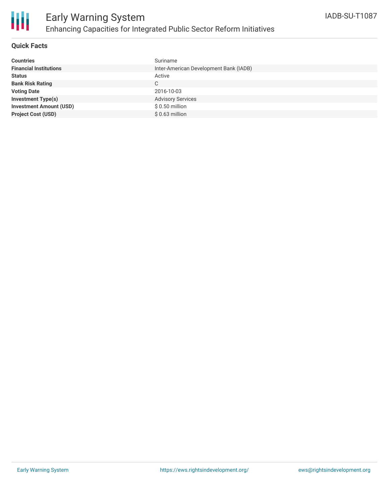

### **Quick Facts**

| <b>Countries</b>               | Suriname                               |
|--------------------------------|----------------------------------------|
| <b>Financial Institutions</b>  | Inter-American Development Bank (IADB) |
| <b>Status</b>                  | Active                                 |
| <b>Bank Risk Rating</b>        | C                                      |
| <b>Voting Date</b>             | 2016-10-03                             |
| <b>Investment Type(s)</b>      | <b>Advisory Services</b>               |
| <b>Investment Amount (USD)</b> | $$0.50$ million                        |
| <b>Project Cost (USD)</b>      | $$0.63$ million                        |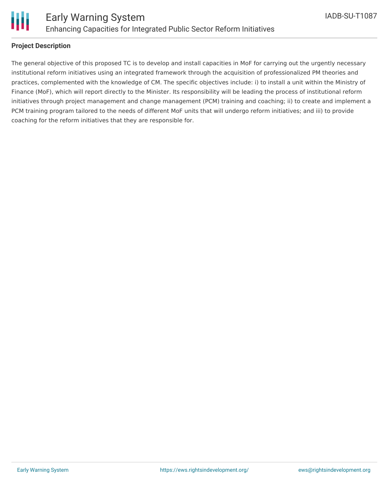

### **Project Description**

The general objective of this proposed TC is to develop and install capacities in MoF for carrying out the urgently necessary institutional reform initiatives using an integrated framework through the acquisition of professionalized PM theories and practices, complemented with the knowledge of CM. The specific objectives include: i) to install a unit within the Ministry of Finance (MoF), which will report directly to the Minister. Its responsibility will be leading the process of institutional reform initiatives through project management and change management (PCM) training and coaching; ii) to create and implement a PCM training program tailored to the needs of different MoF units that will undergo reform initiatives; and iii) to provide coaching for the reform initiatives that they are responsible for.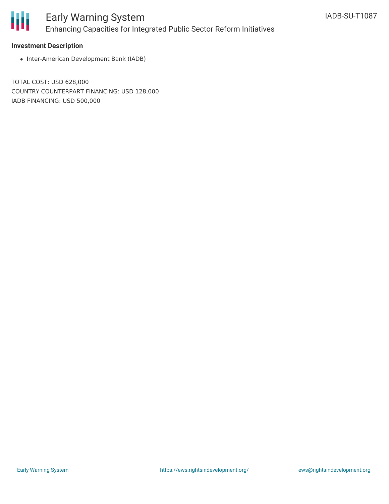

## Early Warning System Enhancing Capacities for Integrated Public Sector Reform Initiatives

### **Investment Description**

• Inter-American Development Bank (IADB)

TOTAL COST: USD 628,000 COUNTRY COUNTERPART FINANCING: USD 128,000 IADB FINANCING: USD 500,000